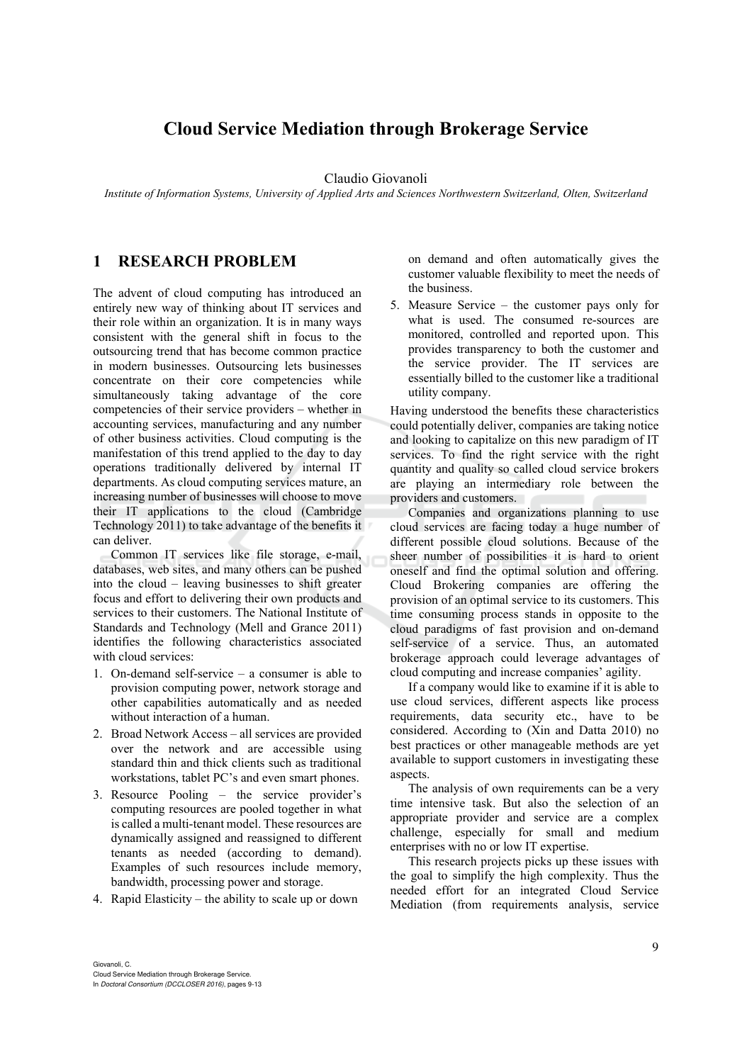# **Cloud Service Mediation through Brokerage Service**

#### Claudio Giovanoli

*Institute of Information Systems, University of Applied Arts and Sciences Northwestern Switzerland, Olten, Switzerland* 

### **1 RESEARCH PROBLEM**

The advent of cloud computing has introduced an entirely new way of thinking about IT services and their role within an organization. It is in many ways consistent with the general shift in focus to the outsourcing trend that has become common practice in modern businesses. Outsourcing lets businesses concentrate on their core competencies while simultaneously taking advantage of the core competencies of their service providers – whether in accounting services, manufacturing and any number of other business activities. Cloud computing is the manifestation of this trend applied to the day to day operations traditionally delivered by internal IT departments. As cloud computing services mature, an increasing number of businesses will choose to move their IT applications to the cloud (Cambridge Technology 2011) to take advantage of the benefits it can deliver.

Common IT services like file storage, e-mail, databases, web sites, and many others can be pushed into the cloud – leaving businesses to shift greater focus and effort to delivering their own products and services to their customers. The National Institute of Standards and Technology (Mell and Grance 2011) identifies the following characteristics associated with cloud services:

- 1. On-demand self-service a consumer is able to provision computing power, network storage and other capabilities automatically and as needed without interaction of a human.
- 2. Broad Network Access all services are provided over the network and are accessible using standard thin and thick clients such as traditional workstations, tablet PC's and even smart phones.
- 3. Resource Pooling the service provider's computing resources are pooled together in what is called a multi-tenant model. These resources are dynamically assigned and reassigned to different tenants as needed (according to demand). Examples of such resources include memory, bandwidth, processing power and storage.
- 4. Rapid Elasticity the ability to scale up or down

on demand and often automatically gives the customer valuable flexibility to meet the needs of the business.

5. Measure Service – the customer pays only for what is used. The consumed re-sources are monitored, controlled and reported upon. This provides transparency to both the customer and the service provider. The IT services are essentially billed to the customer like a traditional utility company.

Having understood the benefits these characteristics could potentially deliver, companies are taking notice and looking to capitalize on this new paradigm of IT services. To find the right service with the right quantity and quality so called cloud service brokers are playing an intermediary role between the providers and customers.

Companies and organizations planning to use cloud services are facing today a huge number of different possible cloud solutions. Because of the sheer number of possibilities it is hard to orient oneself and find the optimal solution and offering. Cloud Brokering companies are offering the provision of an optimal service to its customers. This time consuming process stands in opposite to the cloud paradigms of fast provision and on-demand self-service of a service. Thus, an automated brokerage approach could leverage advantages of cloud computing and increase companies' agility.

If a company would like to examine if it is able to use cloud services, different aspects like process requirements, data security etc., have to be considered. According to (Xin and Datta 2010) no best practices or other manageable methods are yet available to support customers in investigating these aspects.

The analysis of own requirements can be a very time intensive task. But also the selection of an appropriate provider and service are a complex challenge, especially for small and medium enterprises with no or low IT expertise.

This research projects picks up these issues with the goal to simplify the high complexity. Thus the needed effort for an integrated Cloud Service Mediation (from requirements analysis, service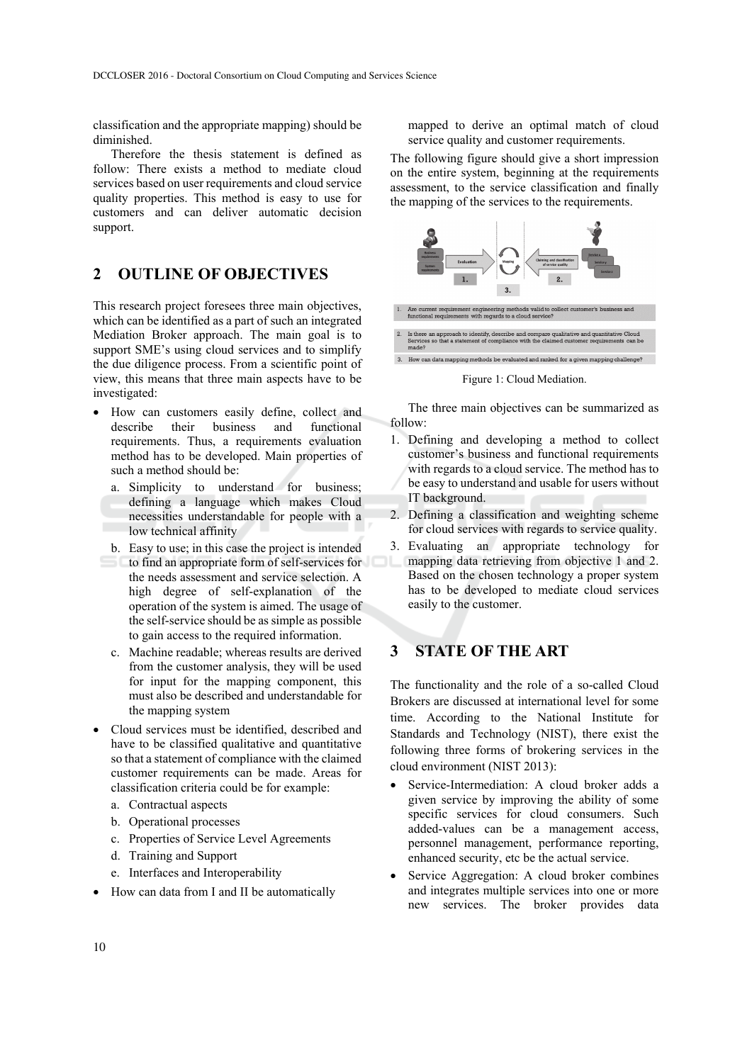classification and the appropriate mapping) should be diminished.

Therefore the thesis statement is defined as follow: There exists a method to mediate cloud services based on user requirements and cloud service quality properties. This method is easy to use for customers and can deliver automatic decision support.

### **2 OUTLINE OF OBJECTIVES**

This research project foresees three main objectives, which can be identified as a part of such an integrated Mediation Broker approach. The main goal is to support SME's using cloud services and to simplify the due diligence process. From a scientific point of view, this means that three main aspects have to be investigated:

- How can customers easily define, collect and describe their business and functional requirements. Thus, a requirements evaluation method has to be developed. Main properties of such a method should be:
	- a. Simplicity to understand for business; defining a language which makes Cloud necessities understandable for people with a low technical affinity
	- b. Easy to use; in this case the project is intended to find an appropriate form of self-services for the needs assessment and service selection. A high degree of self-explanation of the operation of the system is aimed. The usage of the self-service should be as simple as possible to gain access to the required information.
	- c. Machine readable; whereas results are derived from the customer analysis, they will be used for input for the mapping component, this must also be described and understandable for the mapping system
- Cloud services must be identified, described and have to be classified qualitative and quantitative so that a statement of compliance with the claimed customer requirements can be made. Areas for classification criteria could be for example:
	- a. Contractual aspects
	- b. Operational processes
	- c. Properties of Service Level Agreements
	- d. Training and Support
	- e. Interfaces and Interoperability
- How can data from I and II be automatically

mapped to derive an optimal match of cloud service quality and customer requirements.

The following figure should give a short impression on the entire system, beginning at the requirements assessment, to the service classification and finally the mapping of the services to the requirements.



Figure 1: Cloud Mediation.

The three main objectives can be summarized as follow:

- 1. Defining and developing a method to collect customer's business and functional requirements with regards to a cloud service. The method has to be easy to understand and usable for users without IT background.
- 2. Defining a classification and weighting scheme for cloud services with regards to service quality.
- 3. Evaluating an appropriate technology for mapping data retrieving from objective 1 and 2. Based on the chosen technology a proper system has to be developed to mediate cloud services easily to the customer.

## **3 STATE OF THE ART**

The functionality and the role of a so-called Cloud Brokers are discussed at international level for some time. According to the National Institute for Standards and Technology (NIST), there exist the following three forms of brokering services in the cloud environment (NIST 2013):

- Service-Intermediation: A cloud broker adds a given service by improving the ability of some specific services for cloud consumers. Such added-values can be a management access, personnel management, performance reporting, enhanced security, etc be the actual service.
- Service Aggregation: A cloud broker combines and integrates multiple services into one or more new services. The broker provides data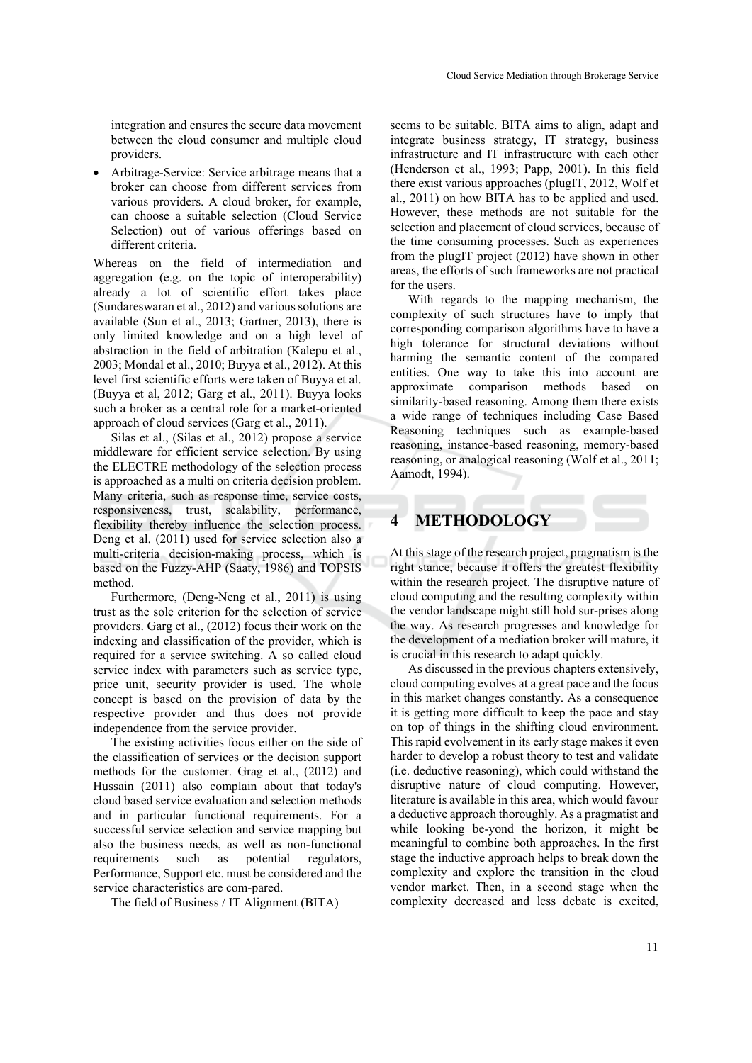integration and ensures the secure data movement between the cloud consumer and multiple cloud providers.

 Arbitrage-Service: Service arbitrage means that a broker can choose from different services from various providers. A cloud broker, for example, can choose a suitable selection (Cloud Service Selection) out of various offerings based on different criteria.

Whereas on the field of intermediation and aggregation (e.g. on the topic of interoperability) already a lot of scientific effort takes place (Sundareswaran et al., 2012) and various solutions are available (Sun et al., 2013; Gartner, 2013), there is only limited knowledge and on a high level of abstraction in the field of arbitration (Kalepu et al., 2003; Mondal et al., 2010; Buyya et al., 2012). At this level first scientific efforts were taken of Buyya et al. (Buyya et al, 2012; Garg et al., 2011). Buyya looks such a broker as a central role for a market-oriented approach of cloud services (Garg et al., 2011).

Silas et al., (Silas et al., 2012) propose a service middleware for efficient service selection. By using the ELECTRE methodology of the selection process is approached as a multi on criteria decision problem. Many criteria, such as response time, service costs, responsiveness, trust, scalability, performance, flexibility thereby influence the selection process. Deng et al. (2011) used for service selection also a multi-criteria decision-making process, which is based on the Fuzzy-AHP (Saaty, 1986) and TOPSIS method.

Furthermore, (Deng-Neng et al., 2011) is using trust as the sole criterion for the selection of service providers. Garg et al., (2012) focus their work on the indexing and classification of the provider, which is required for a service switching. A so called cloud service index with parameters such as service type, price unit, security provider is used. The whole concept is based on the provision of data by the respective provider and thus does not provide independence from the service provider.

The existing activities focus either on the side of the classification of services or the decision support methods for the customer. Grag et al., (2012) and Hussain (2011) also complain about that today's cloud based service evaluation and selection methods and in particular functional requirements. For a successful service selection and service mapping but also the business needs, as well as non-functional requirements such as potential regulators, Performance, Support etc. must be considered and the service characteristics are com-pared.

The field of Business / IT Alignment (BITA)

seems to be suitable. BITA aims to align, adapt and integrate business strategy, IT strategy, business infrastructure and IT infrastructure with each other (Henderson et al., 1993; Papp, 2001). In this field there exist various approaches (plugIT, 2012, Wolf et al., 2011) on how BITA has to be applied and used. However, these methods are not suitable for the selection and placement of cloud services, because of the time consuming processes. Such as experiences from the plugIT project (2012) have shown in other areas, the efforts of such frameworks are not practical for the users.

With regards to the mapping mechanism, the complexity of such structures have to imply that corresponding comparison algorithms have to have a high tolerance for structural deviations without harming the semantic content of the compared entities. One way to take this into account are approximate comparison methods based on similarity-based reasoning. Among them there exists a wide range of techniques including Case Based Reasoning techniques such as example-based reasoning, instance-based reasoning, memory-based reasoning, or analogical reasoning (Wolf et al., 2011; Aamodt, 1994).

### **4 METHODOLOGY**

At this stage of the research project, pragmatism is the right stance, because it offers the greatest flexibility within the research project. The disruptive nature of cloud computing and the resulting complexity within the vendor landscape might still hold sur-prises along the way. As research progresses and knowledge for the development of a mediation broker will mature, it is crucial in this research to adapt quickly.

As discussed in the previous chapters extensively, cloud computing evolves at a great pace and the focus in this market changes constantly. As a consequence it is getting more difficult to keep the pace and stay on top of things in the shifting cloud environment. This rapid evolvement in its early stage makes it even harder to develop a robust theory to test and validate (i.e. deductive reasoning), which could withstand the disruptive nature of cloud computing. However, literature is available in this area, which would favour a deductive approach thoroughly. As a pragmatist and while looking be-yond the horizon, it might be meaningful to combine both approaches. In the first stage the inductive approach helps to break down the complexity and explore the transition in the cloud vendor market. Then, in a second stage when the complexity decreased and less debate is excited,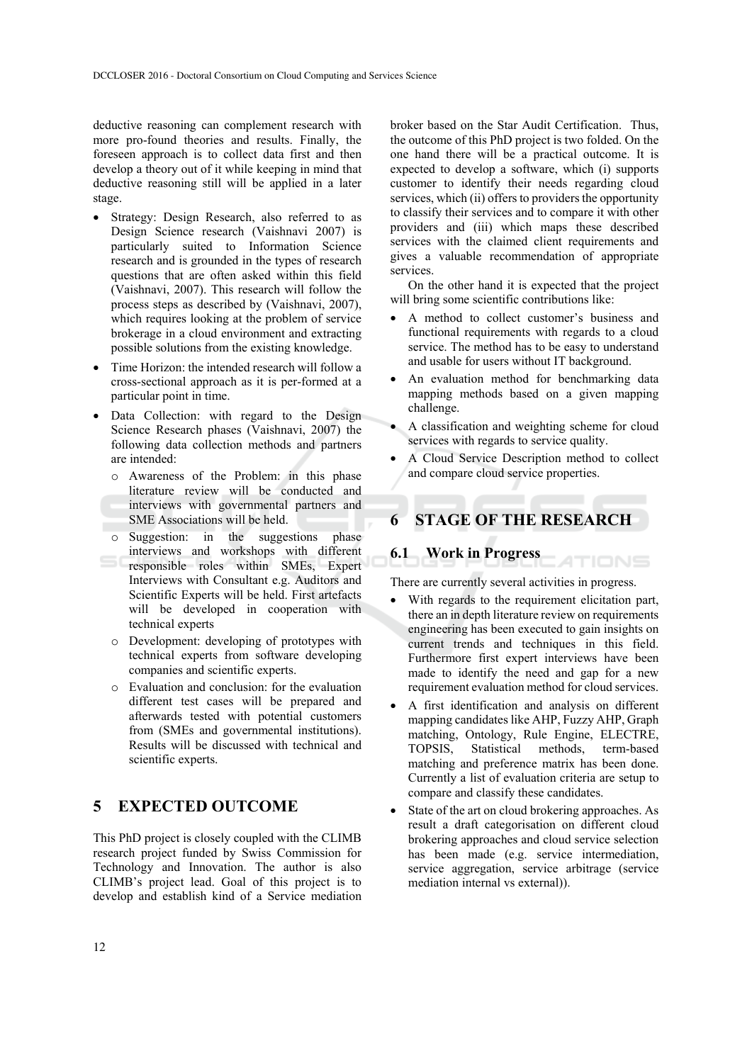deductive reasoning can complement research with more pro-found theories and results. Finally, the foreseen approach is to collect data first and then develop a theory out of it while keeping in mind that deductive reasoning still will be applied in a later stage.

- Strategy: Design Research, also referred to as Design Science research (Vaishnavi 2007) is particularly suited to Information Science research and is grounded in the types of research questions that are often asked within this field (Vaishnavi, 2007). This research will follow the process steps as described by (Vaishnavi, 2007), which requires looking at the problem of service brokerage in a cloud environment and extracting possible solutions from the existing knowledge.
- Time Horizon: the intended research will follow a cross-sectional approach as it is per-formed at a particular point in time.
- Data Collection: with regard to the Design Science Research phases (Vaishnavi, 2007) the following data collection methods and partners are intended:
	- o Awareness of the Problem: in this phase literature review will be conducted and interviews with governmental partners and SME Associations will be held.
	- o Suggestion: in the suggestions phase interviews and workshops with different responsible roles within SMEs, Expert Interviews with Consultant e.g. Auditors and Scientific Experts will be held. First artefacts will be developed in cooperation with technical experts
	- o Development: developing of prototypes with technical experts from software developing companies and scientific experts.
	- o Evaluation and conclusion: for the evaluation different test cases will be prepared and afterwards tested with potential customers from (SMEs and governmental institutions). Results will be discussed with technical and scientific experts.

### **5 EXPECTED OUTCOME**

This PhD project is closely coupled with the CLIMB research project funded by Swiss Commission for Technology and Innovation. The author is also CLIMB's project lead. Goal of this project is to develop and establish kind of a Service mediation

broker based on the Star Audit Certification. Thus, the outcome of this PhD project is two folded. On the one hand there will be a practical outcome. It is expected to develop a software, which (i) supports customer to identify their needs regarding cloud services, which (ii) offers to providers the opportunity to classify their services and to compare it with other providers and (iii) which maps these described services with the claimed client requirements and gives a valuable recommendation of appropriate services.

On the other hand it is expected that the project will bring some scientific contributions like:

- A method to collect customer's business and functional requirements with regards to a cloud service. The method has to be easy to understand and usable for users without IT background.
- An evaluation method for benchmarking data mapping methods based on a given mapping challenge.
- A classification and weighting scheme for cloud services with regards to service quality.
- A Cloud Service Description method to collect and compare cloud service properties.

# **6 STAGE OF THE RESEARCH**

#### **6.1 Work in Progress**

There are currently several activities in progress.

**ATIONS** 

- With regards to the requirement elicitation part, there an in depth literature review on requirements engineering has been executed to gain insights on current trends and techniques in this field. Furthermore first expert interviews have been made to identify the need and gap for a new requirement evaluation method for cloud services.
- A first identification and analysis on different mapping candidates like AHP, Fuzzy AHP, Graph matching, Ontology, Rule Engine, ELECTRE, TOPSIS, Statistical methods, term-based matching and preference matrix has been done. Currently a list of evaluation criteria are setup to compare and classify these candidates.
- State of the art on cloud brokering approaches. As result a draft categorisation on different cloud brokering approaches and cloud service selection has been made (e.g. service intermediation, service aggregation, service arbitrage (service mediation internal vs external)).